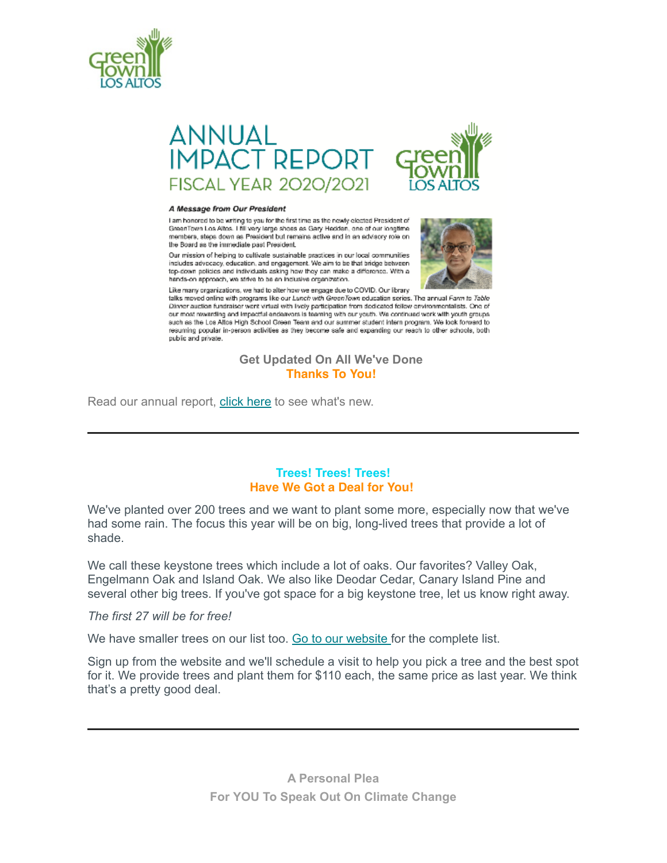





#### A Message from Our President

I am honored to be writing to you for the first time as the newly elected President of GreenTown Los Altos. I fill very large shoes as Gary Hedden, one of our longtime members, steps down as President but remains active and in an advisory role on the Board as the immediate past President.





Like many organizations, we had to alter how we engage due to COVID. Our library talks moved online with programs like our Lunch with GreenTown education series. The annual Farm to Table Dioner auction fundraiser work virtual with lively participation from declicated fellow environmentalists. One of our most rewarding and impactful endeavors is teaming with our youth. We continued work with youth groups such as the Los Altos High School Green Team and our summer student intern program. We look forward to resuming popular in-person activities as they become safe and expanding our reach to other schools, both public and private.

# **Get Updated On All We've Done Thanks To You!**

Read our annual report, [click here](https://63d8de2f-db56-4540-8b21-580bce29e4dc.filesusr.com/ugd/bd5fe3_1e628171b4f147f694a1f75c72543b33.pdf) to see what's new.

## **Trees! Trees! Trees! Have We Got a Deal for You!**

We've planted over 200 trees and we want to plant some more, especially now that we've had some rain. The focus this year will be on big, long-lived trees that provide a lot of shade.

We call these keystone trees which include a lot of oaks. Our favorites? Valley Oak, Engelmann Oak and Island Oak. We also like Deodar Cedar, Canary Island Pine and several other big trees. If you've got space for a big keystone tree, let us know right away.

## *The first 27 will be for free!*

We have smaller trees on our list too. [Go to our website](https://www.greentownlosaltos.org/500-trees) for the complete list.

Sign up from the website and we'll schedule a visit to help you pick a tree and the best spot for it. We provide trees and plant them for \$110 each, the same price as last year. We think that's a pretty good deal.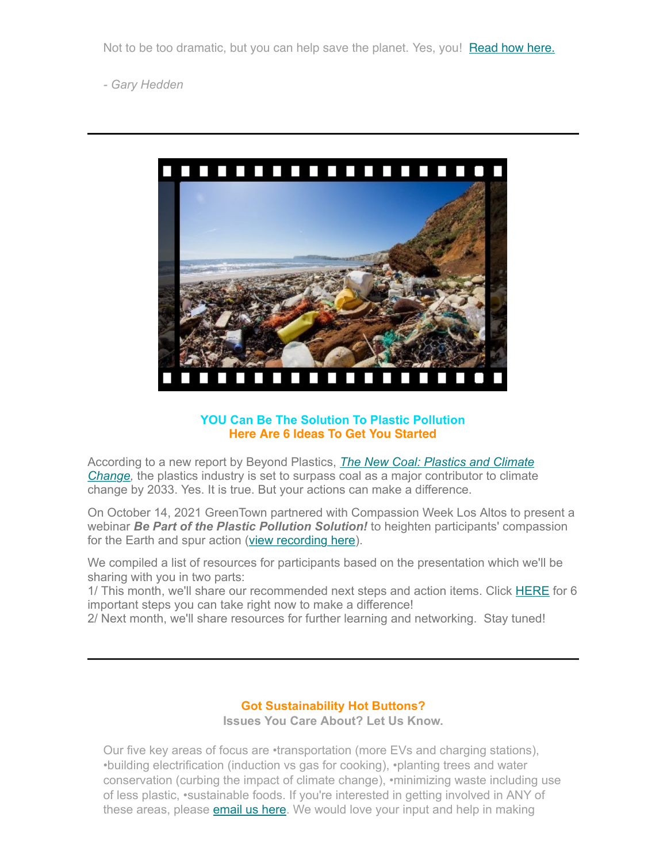Not to be too dramatic, but you can help save the planet. Yes, you! [Read how here.](https://www.greentownlosaltos.org/post/a-plea-to-save-the-planet-yes-you)

*- Gary Hedden*



# **YOU Can Be The Solution To Plastic Pollution Here Are 6 Ideas To Get You Started**

According to a new report by Beyond Plastics, *The New Coal: Plastics and Climate Change,* [the plastics industry is set to surpass coal as a major contributor to climate](https://static1.squarespace.com/static/5eda91260bbb7e7a4bf528d8/t/616ef29221985319611a64e0/1634661022294/REPORT_The_New-Coal_Plastics_and_Climate-Change_10-21-2021.pdf) change by 2033. Yes. It is true. But your actions can make a difference.

On October 14, 2021 GreenTown partnered with Compassion Week Los Altos to present a webinar *Be Part of the Plastic Pollution Solution!* to heighten participants' compassion for the Earth and spur action ([view recording here](https://www.youtube.com/watch?v=cYS0x7eujNU)).

We compiled a list of resources for participants based on the presentation which we'll be sharing with you in two parts:

1/ This month, we'll share our recommended next steps and action items. Click [HERE](https://www.greentownlosaltos.org/post/a-starter-kit-for-tackling-plastic-pollution) for 6 important steps you can take right now to make a difference!

2/ Next month, we'll share resources for further learning and networking. Stay tuned!

# **Got Sustainability Hot Buttons?**

**Issues You Care About? Let Us Know.**

Our five key areas of focus are •transportation (more EVs and charging stations), •building electrification (induction vs gas for cooking), •planting trees and water conservation (curbing the impact of climate change), •minimizing waste including use of less plastic, •sustainable foods. If you're interested in getting involved in ANY of these areas, please **email us here**. We would love your input and help in making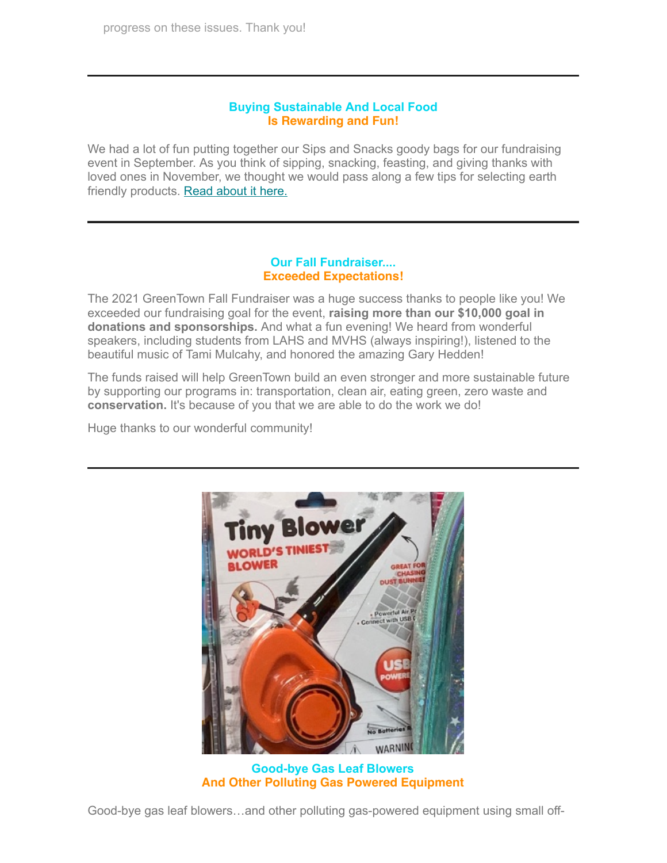# **Buying Sustainable And Local Food Is Rewarding and Fun!**

We had a lot of fun putting together our Sips and Snacks goody bags for our fundraising event in September. As you think of sipping, snacking, feasting, and giving thanks with loved ones in November, we thought we would pass along a few tips for selecting earth friendly products. [Read about it here.](https://www.greentownlosaltos.org/post/why-buying-local-and-sustainably-can-be-easy)

## **Our Fall Fundraiser.... Exceeded Expectations!**

The 2021 GreenTown Fall Fundraiser was a huge success thanks to people like you! We exceeded our fundraising goal for the event, **raising more than our \$10,000 goal in donations and sponsorships.** And what a fun evening! We heard from wonderful speakers, including students from LAHS and MVHS (always inspiring!), listened to the beautiful music of Tami Mulcahy, and honored the amazing Gary Hedden!

The funds raised will help GreenTown build an even stronger and more sustainable future by supporting our programs in: transportation, clean air, eating green, zero waste and **conservation.** It's because of you that we are able to do the work we do!

Huge thanks to our wonderful community!



**Good-bye Gas Leaf Blowers And Other Polluting Gas Powered Equipment**

Good-bye gas leaf blowers…and other polluting gas-powered equipment using small off-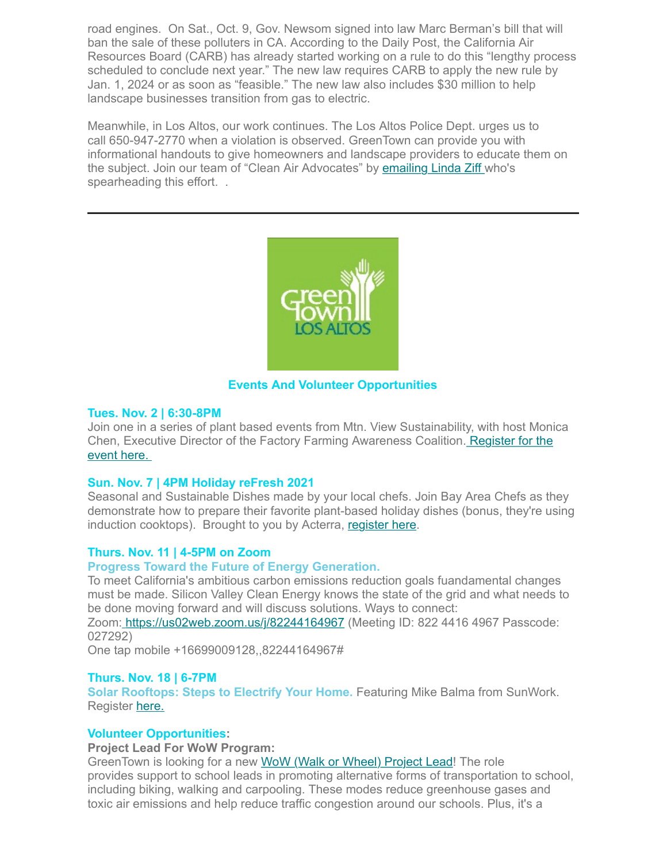road engines. On Sat., Oct. 9, Gov. Newsom signed into law Marc Berman's bill that will ban the sale of these polluters in CA. According to the Daily Post, the California Air Resources Board (CARB) has already started working on a rule to do this "lengthy process scheduled to conclude next year." The new law requires CARB to apply the new rule by Jan. 1, 2024 or as soon as "feasible." The new law also includes \$30 million to help landscape businesses transition from gas to electric.

Meanwhile, in Los Altos, our work continues. The Los Altos Police Dept. urges us to call 650-947-2770 when a violation is observed. GreenTown can provide you with informational handouts to give homeowners and landscape providers to educate them on the subject. Join our team of "Clean Air Advocates" by [emailing Linda Ziff w](mailto:lindaz@greentownlosaltos.org?subject=Gas%20Leaf%20Blowers)ho's spearheading this effort. .



## **Events And Volunteer Opportunities**

#### **Tues. Nov. 2 | 6:30-8PM**

Join one in a series of plant based events from Mtn. View Sustainability, with host Monica [Chen, Executive Director of the Factory Farming Awareness Coalition. Register for the](https://www.eventbrite.com/e/city-of-mountain-view-positive-environmental-impacts-of-a-plant-based-diet-tickets-167810671235?aff=newsletter) event here.

## **Sun. Nov. 7 | 4PM Holiday reFresh 2021**

Seasonal and Sustainable Dishes made by your local chefs. Join Bay Area Chefs as they demonstrate how to prepare their favorite plant-based holiday dishes (bonus, they're using induction cooktops). Brought to you by Acterra, [register here](https://hopin.com/events/holiday-refresh-2021).

## **Thurs. Nov. 11 | 4-5PM on Zoom**

#### **Progress Toward the Future of Energy Generation.**

To meet California's ambitious carbon emissions reduction goals fuandamental changes must be made. Silicon Valley Clean Energy knows the state of the grid and what needs to be done moving forward and will discuss solutions. Ways to connect:

Zoom[:](https://us02web.zoom.us/j/82244164967) <https://us02web.zoom.us/j/82244164967> (Meeting ID: 822 4416 4967 Passcode: 027292)

One tap mobile +16699009128,,82244164967#

#### **Thurs. Nov. 18 | 6-7PM**

**Solar Rooftops: Steps to Electrify Your Home.** Featuring Mike Balma from SunWork. Register [here.](https://www.eventbrite.com/e/solar-rooftops-steps-to-electrify-your-home-tickets-194722248487?aff=ecohaps)

#### **Volunteer Opportunities:**

## **Project Lead For WoW Program:**

GreenTown is looking for a new [WoW \(Walk or Wheel\) Project Lead!](https://www.greentownlosaltos.org/vounteer-intern) The role provides support to school leads in promoting alternative forms of transportation to school, including biking, walking and carpooling. These modes reduce greenhouse gases and toxic air emissions and help reduce traffic congestion around our schools. Plus, it's a